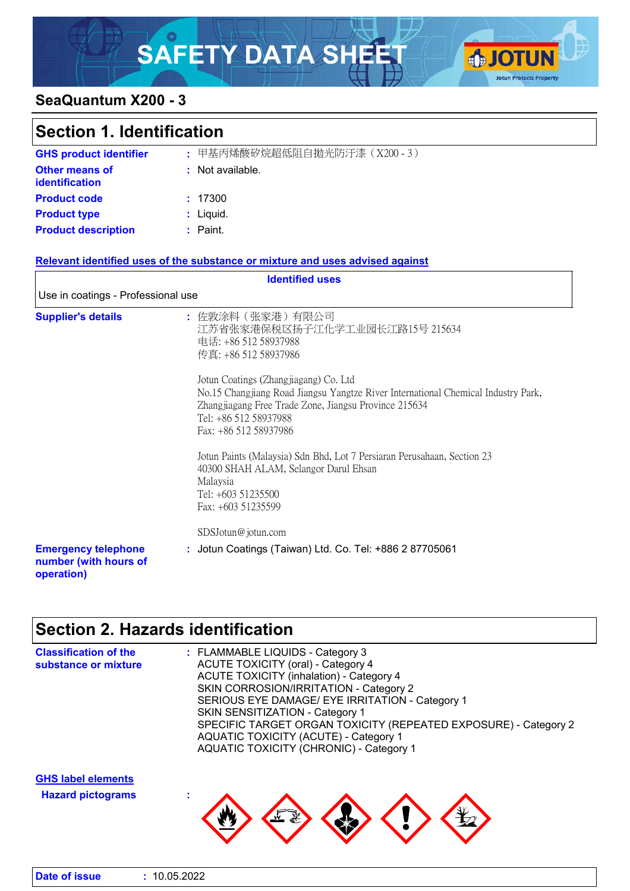# SAFETY DATA SHEET OF CONTINUES



### **SeaQuantum X200 - 3**

| <b>Section 1. Identification</b>                                  |                                                                                                                                                                                                                                                                                                                                                                                                                                                                                                                        |
|-------------------------------------------------------------------|------------------------------------------------------------------------------------------------------------------------------------------------------------------------------------------------------------------------------------------------------------------------------------------------------------------------------------------------------------------------------------------------------------------------------------------------------------------------------------------------------------------------|
|                                                                   |                                                                                                                                                                                                                                                                                                                                                                                                                                                                                                                        |
| <b>GHS product identifier</b>                                     | : 甲基丙烯酸矽烷超低阻自拋光防汙漆 (X200-3)                                                                                                                                                                                                                                                                                                                                                                                                                                                                                            |
| Other means of<br><b>identification</b>                           | : Not available.                                                                                                                                                                                                                                                                                                                                                                                                                                                                                                       |
| <b>Product code</b>                                               | : 17300                                                                                                                                                                                                                                                                                                                                                                                                                                                                                                                |
| <b>Product type</b>                                               | : Liquid.                                                                                                                                                                                                                                                                                                                                                                                                                                                                                                              |
| <b>Product description</b>                                        | : Paint.                                                                                                                                                                                                                                                                                                                                                                                                                                                                                                               |
|                                                                   | Relevant identified uses of the substance or mixture and uses advised against                                                                                                                                                                                                                                                                                                                                                                                                                                          |
|                                                                   | <b>Identified uses</b>                                                                                                                                                                                                                                                                                                                                                                                                                                                                                                 |
| Use in coatings - Professional use                                |                                                                                                                                                                                                                                                                                                                                                                                                                                                                                                                        |
| <b>Supplier's details</b>                                         | : 佐敦涂料(张家港)有限公司<br>江苏省张家港保税区扬子江化学工业园长江路15号 215634<br>电话: +86 512 58937988<br>传真: +86 512 58937986<br>Jotun Coatings (Zhangjiagang) Co. Ltd<br>No.15 Changjiang Road Jiangsu Yangtze River International Chemical Industry Park,<br>Zhangjiagang Free Trade Zone, Jiangsu Province 215634<br>Tel: +86 512 58937988<br>Fax: +86 512 58937986<br>Jotun Paints (Malaysia) Sdn Bhd, Lot 7 Persiaran Perusahaan, Section 23<br>40300 SHAH ALAM, Selangor Darul Ehsan<br>Malaysia<br>Tel: +603 51235500<br>Fax: +603 51235599 |
| <b>Emergency telephone</b><br>number (with hours of<br>operation) | SDSJotun@jotun.com<br>: Jotun Coatings (Taiwan) Ltd. Co. Tel: +886 2 87705061                                                                                                                                                                                                                                                                                                                                                                                                                                          |

## **Section 2. Hazards identification**

**Date of issue :** 10.05.2022

| <b>Classification of the</b><br>substance or mixture  | : FLAMMABLE LIQUIDS - Category 3<br><b>ACUTE TOXICITY (oral) - Category 4</b><br><b>ACUTE TOXICITY (inhalation) - Category 4</b><br>SKIN CORROSION/IRRITATION - Category 2<br>SERIOUS EYE DAMAGE/ EYE IRRITATION - Category 1<br>SKIN SENSITIZATION - Category 1<br>SPECIFIC TARGET ORGAN TOXICITY (REPEATED EXPOSURE) - Category 2<br><b>AQUATIC TOXICITY (ACUTE) - Category 1</b><br><b>AQUATIC TOXICITY (CHRONIC) - Category 1</b> |
|-------------------------------------------------------|---------------------------------------------------------------------------------------------------------------------------------------------------------------------------------------------------------------------------------------------------------------------------------------------------------------------------------------------------------------------------------------------------------------------------------------|
| <b>GHS label elements</b><br><b>Hazard pictograms</b> |                                                                                                                                                                                                                                                                                                                                                                                                                                       |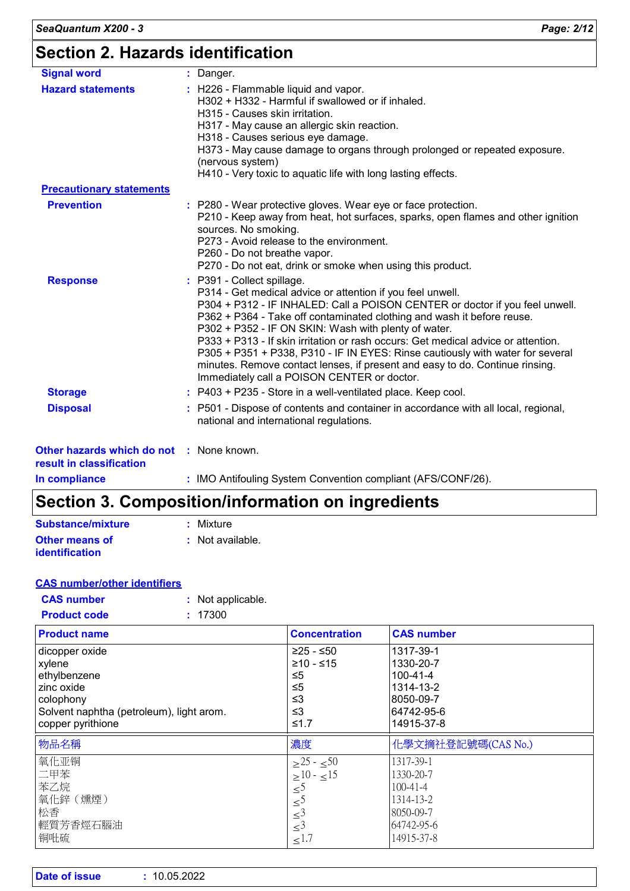| <b>Signal word</b>                                                   | : Danger.                                                                                                                                                                                                                                                                                                                                                                                                                                                                                                                                                                                                        |
|----------------------------------------------------------------------|------------------------------------------------------------------------------------------------------------------------------------------------------------------------------------------------------------------------------------------------------------------------------------------------------------------------------------------------------------------------------------------------------------------------------------------------------------------------------------------------------------------------------------------------------------------------------------------------------------------|
| <b>Hazard statements</b>                                             | : H226 - Flammable liquid and vapor.<br>H302 + H332 - Harmful if swallowed or if inhaled.<br>H315 - Causes skin irritation.<br>H317 - May cause an allergic skin reaction.<br>H318 - Causes serious eye damage.<br>H373 - May cause damage to organs through prolonged or repeated exposure.<br>(nervous system)<br>H410 - Very toxic to aquatic life with long lasting effects.                                                                                                                                                                                                                                 |
| <b>Precautionary statements</b>                                      |                                                                                                                                                                                                                                                                                                                                                                                                                                                                                                                                                                                                                  |
| <b>Prevention</b>                                                    | : P280 - Wear protective gloves. Wear eye or face protection.<br>P210 - Keep away from heat, hot surfaces, sparks, open flames and other ignition<br>sources. No smoking.<br>P273 - Avoid release to the environment.<br>P260 - Do not breathe vapor.<br>P270 - Do not eat, drink or smoke when using this product.                                                                                                                                                                                                                                                                                              |
| <b>Response</b>                                                      | : P391 - Collect spillage.<br>P314 - Get medical advice or attention if you feel unwell.<br>P304 + P312 - IF INHALED: Call a POISON CENTER or doctor if you feel unwell.<br>P362 + P364 - Take off contaminated clothing and wash it before reuse.<br>P302 + P352 - IF ON SKIN: Wash with plenty of water.<br>P333 + P313 - If skin irritation or rash occurs: Get medical advice or attention.<br>P305 + P351 + P338, P310 - IF IN EYES: Rinse cautiously with water for several<br>minutes. Remove contact lenses, if present and easy to do. Continue rinsing.<br>Immediately call a POISON CENTER or doctor. |
| <b>Storage</b>                                                       | : P403 + P235 - Store in a well-ventilated place. Keep cool.                                                                                                                                                                                                                                                                                                                                                                                                                                                                                                                                                     |
| <b>Disposal</b>                                                      | : P501 - Dispose of contents and container in accordance with all local, regional,<br>national and international regulations.                                                                                                                                                                                                                                                                                                                                                                                                                                                                                    |
| Other hazards which do not : None known.<br>result in classification |                                                                                                                                                                                                                                                                                                                                                                                                                                                                                                                                                                                                                  |
| والمستحدث المتحدد والمسالح                                           | $\sim$ IMO Astifacilian October Opposanting provident (AEO/OONE/OO)                                                                                                                                                                                                                                                                                                                                                                                                                                                                                                                                              |

**In compliance :** IMO Antifouling System Convention compliant (AFS/CONF/26).

### **Section 3. Composition/information on ingredients**

| Substance/mixture     | : Mixture        |
|-----------------------|------------------|
| <b>Other means of</b> | : Not available. |
| <b>identification</b> |                  |

|--|

| <b>CAS number</b> | Not applicable. |
|-------------------|-----------------|
|                   |                 |

| <b>Product code</b> | : 17300 |
|---------------------|---------|
|                     |         |

| <b>Product name</b>                      | <b>Concentration</b>                       | <b>CAS number</b>  |
|------------------------------------------|--------------------------------------------|--------------------|
| dicopper oxide                           | $≥25 - ≤50$                                | 1317-39-1          |
| xylene                                   | $≥10 - ≤15$                                | 1330-20-7          |
| ethylbenzene                             | $\leq 5$                                   | $100 - 41 - 4$     |
| zinc oxide                               | ≤5                                         | 1314-13-2          |
| colophony                                | ≤3                                         | 8050-09-7          |
| Solvent naphtha (petroleum), light arom. | ≤3                                         | 64742-95-6         |
| copper pyrithione                        | ≤1.7                                       | 14915-37-8         |
| 物品名稱                                     | 濃度                                         | 化學文摘社登記號碼(CAS No.) |
|                                          |                                            |                    |
| 氧化亚铜                                     | $>25 - 50$                                 | 1317-39-1          |
| 二甲苯                                      | $>10 - 15$                                 | 1330-20-7          |
| 苯乙烷                                      |                                            | $100 - 41 - 4$     |
| 氧化鋅 (燻煙)                                 | $\leq$ <sup>5</sup>                        | 1314-13-2          |
| 松香                                       | $\leq$ <sup>5</sup>                        | 8050-09-7          |
| 輕質芳香烴石腦油                                 | $\leq$ <sup>3</sup><br>$\leq$ <sup>3</sup> | 64742-95-6         |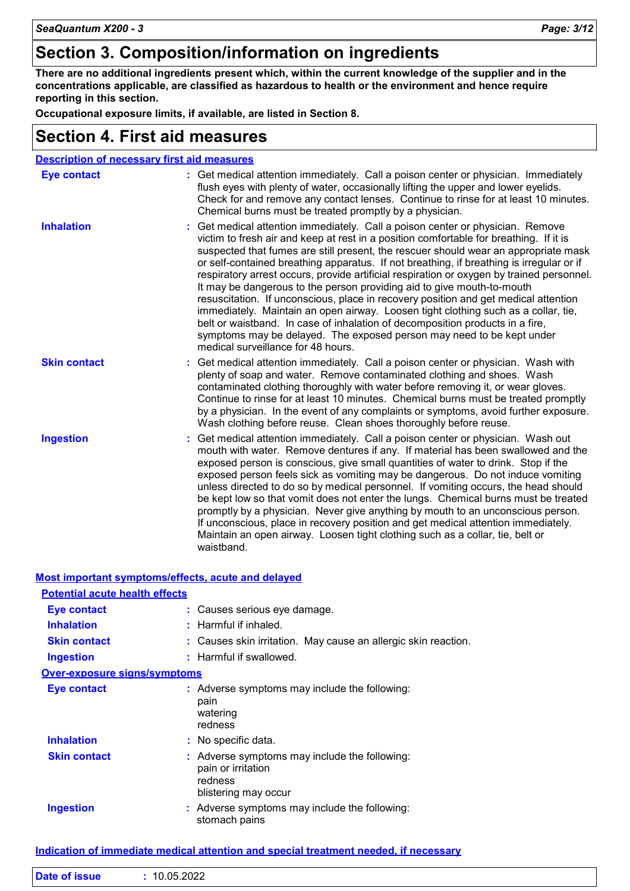### **Section 3. Composition/information on ingredients**

**There are no additional ingredients present which, within the current knowledge of the supplier and in the concentrations applicable, are classified as hazardous to health or the environment and hence require reporting in this section.**

**Occupational exposure limits, if available, are listed in Section 8.**

### **Section 4. First aid measures**

|                     | <b>Description of necessary first aid measures</b>                                                                                                                                                                                                                                                                                                                                                                                                                                                                                                                                                                                                                                                                                                                                                                                                                                                            |
|---------------------|---------------------------------------------------------------------------------------------------------------------------------------------------------------------------------------------------------------------------------------------------------------------------------------------------------------------------------------------------------------------------------------------------------------------------------------------------------------------------------------------------------------------------------------------------------------------------------------------------------------------------------------------------------------------------------------------------------------------------------------------------------------------------------------------------------------------------------------------------------------------------------------------------------------|
| <b>Eye contact</b>  | : Get medical attention immediately. Call a poison center or physician. Immediately<br>flush eyes with plenty of water, occasionally lifting the upper and lower eyelids.<br>Check for and remove any contact lenses. Continue to rinse for at least 10 minutes.<br>Chemical burns must be treated promptly by a physician.                                                                                                                                                                                                                                                                                                                                                                                                                                                                                                                                                                                   |
| <b>Inhalation</b>   | Get medical attention immediately. Call a poison center or physician. Remove<br>victim to fresh air and keep at rest in a position comfortable for breathing. If it is<br>suspected that fumes are still present, the rescuer should wear an appropriate mask<br>or self-contained breathing apparatus. If not breathing, if breathing is irregular or if<br>respiratory arrest occurs, provide artificial respiration or oxygen by trained personnel.<br>It may be dangerous to the person providing aid to give mouth-to-mouth<br>resuscitation. If unconscious, place in recovery position and get medical attention<br>immediately. Maintain an open airway. Loosen tight clothing such as a collar, tie,<br>belt or waistband. In case of inhalation of decomposition products in a fire,<br>symptoms may be delayed. The exposed person may need to be kept under<br>medical surveillance for 48 hours. |
| <b>Skin contact</b> | Get medical attention immediately. Call a poison center or physician. Wash with<br>plenty of soap and water. Remove contaminated clothing and shoes. Wash<br>contaminated clothing thoroughly with water before removing it, or wear gloves.<br>Continue to rinse for at least 10 minutes. Chemical burns must be treated promptly<br>by a physician. In the event of any complaints or symptoms, avoid further exposure.<br>Wash clothing before reuse. Clean shoes thoroughly before reuse.                                                                                                                                                                                                                                                                                                                                                                                                                 |
| <b>Ingestion</b>    | Get medical attention immediately. Call a poison center or physician. Wash out<br>mouth with water. Remove dentures if any. If material has been swallowed and the<br>exposed person is conscious, give small quantities of water to drink. Stop if the<br>exposed person feels sick as vomiting may be dangerous. Do not induce vomiting<br>unless directed to do so by medical personnel. If vomiting occurs, the head should<br>be kept low so that vomit does not enter the lungs. Chemical burns must be treated<br>promptly by a physician. Never give anything by mouth to an unconscious person.<br>If unconscious, place in recovery position and get medical attention immediately.<br>Maintain an open airway. Loosen tight clothing such as a collar, tie, belt or<br>waistband.                                                                                                                  |

| Most important symptoms/effects, acute and delayed |                                                                                                        |
|----------------------------------------------------|--------------------------------------------------------------------------------------------------------|
| <b>Potential acute health effects</b>              |                                                                                                        |
| <b>Eye contact</b>                                 | : Causes serious eye damage.                                                                           |
| <b>Inhalation</b>                                  | $:$ Harmful if inhaled.                                                                                |
| <b>Skin contact</b>                                | : Causes skin irritation. May cause an allergic skin reaction.                                         |
| <b>Ingestion</b>                                   | : Harmful if swallowed.                                                                                |
| <b>Over-exposure signs/symptoms</b>                |                                                                                                        |
| <b>Eye contact</b>                                 | : Adverse symptoms may include the following:<br>pain<br>watering<br>redness                           |
| <b>Inhalation</b>                                  | : No specific data.                                                                                    |
| <b>Skin contact</b>                                | : Adverse symptoms may include the following:<br>pain or irritation<br>redness<br>blistering may occur |
| <b>Ingestion</b>                                   | : Adverse symptoms may include the following:<br>stomach pains                                         |

#### **Indication of immediate medical attention and special treatment needed, if necessary**

|  | <b>Date of issue</b> | 10.05.2022 |  |  |  |
|--|----------------------|------------|--|--|--|
|--|----------------------|------------|--|--|--|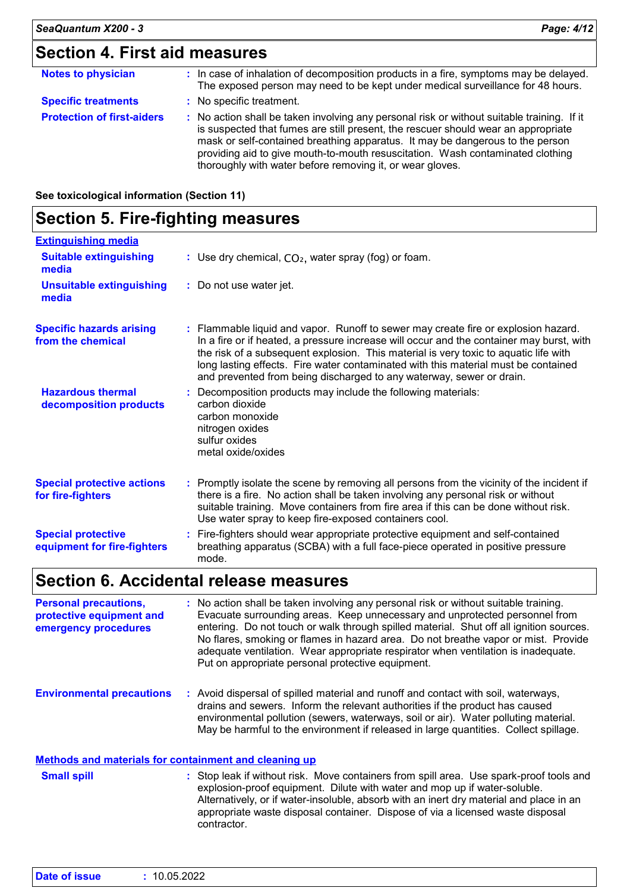### **Section 4. First aid measures**

| <b>Notes to physician</b>         | : In case of inhalation of decomposition products in a fire, symptoms may be delayed.<br>The exposed person may need to be kept under medical surveillance for 48 hours.                                                                                                                                                                                                                                        |
|-----------------------------------|-----------------------------------------------------------------------------------------------------------------------------------------------------------------------------------------------------------------------------------------------------------------------------------------------------------------------------------------------------------------------------------------------------------------|
| <b>Specific treatments</b>        | : No specific treatment.                                                                                                                                                                                                                                                                                                                                                                                        |
| <b>Protection of first-aiders</b> | : No action shall be taken involving any personal risk or without suitable training. If it<br>is suspected that fumes are still present, the rescuer should wear an appropriate<br>mask or self-contained breathing apparatus. It may be dangerous to the person<br>providing aid to give mouth-to-mouth resuscitation. Wash contaminated clothing<br>thoroughly with water before removing it, or wear gloves. |

**See toxicological information (Section 11)**

### **Section 5. Fire-fighting measures**

| <b>Extinguishing media</b>                               |                                                                                                                                                                                                                                                                                                                                                                                                                                      |
|----------------------------------------------------------|--------------------------------------------------------------------------------------------------------------------------------------------------------------------------------------------------------------------------------------------------------------------------------------------------------------------------------------------------------------------------------------------------------------------------------------|
| <b>Suitable extinguishing</b><br>media                   | : Use dry chemical, $CO2$ , water spray (fog) or foam.                                                                                                                                                                                                                                                                                                                                                                               |
| <b>Unsuitable extinguishing</b><br>media                 | : Do not use water jet.                                                                                                                                                                                                                                                                                                                                                                                                              |
| <b>Specific hazards arising</b><br>from the chemical     | : Flammable liquid and vapor. Runoff to sewer may create fire or explosion hazard.<br>In a fire or if heated, a pressure increase will occur and the container may burst, with<br>the risk of a subsequent explosion. This material is very toxic to aquatic life with<br>long lasting effects. Fire water contaminated with this material must be contained<br>and prevented from being discharged to any waterway, sewer or drain. |
| <b>Hazardous thermal</b><br>decomposition products       | : Decomposition products may include the following materials:<br>carbon dioxide<br>carbon monoxide<br>nitrogen oxides<br>sulfur oxides<br>metal oxide/oxides                                                                                                                                                                                                                                                                         |
| <b>Special protective actions</b><br>for fire-fighters   | : Promptly isolate the scene by removing all persons from the vicinity of the incident if<br>there is a fire. No action shall be taken involving any personal risk or without<br>suitable training. Move containers from fire area if this can be done without risk.<br>Use water spray to keep fire-exposed containers cool.                                                                                                        |
| <b>Special protective</b><br>equipment for fire-fighters | : Fire-fighters should wear appropriate protective equipment and self-contained<br>breathing apparatus (SCBA) with a full face-piece operated in positive pressure<br>mode.                                                                                                                                                                                                                                                          |

### **Section 6. Accidental release measures**

**Personal precautions, protective equipment and emergency procedures :** No action shall be taken involving any personal risk or without suitable training. Evacuate surrounding areas. Keep unnecessary and unprotected personnel from entering. Do not touch or walk through spilled material. Shut off all ignition sources. No flares, smoking or flames in hazard area. Do not breathe vapor or mist. Provide adequate ventilation. Wear appropriate respirator when ventilation is inadequate. Put on appropriate personal protective equipment.

**Environmental precautions :** Avoid dispersal of spilled material and runoff and contact with soil, waterways, drains and sewers. Inform the relevant authorities if the product has caused environmental pollution (sewers, waterways, soil or air). Water polluting material. May be harmful to the environment if released in large quantities. Collect spillage.

#### **Methods and materials for containment and cleaning up**

Stop leak if without risk. Move containers from spill area. Use spark-proof tools and explosion-proof equipment. Dilute with water and mop up if water-soluble. Alternatively, or if water-insoluble, absorb with an inert dry material and place in an appropriate waste disposal container. Dispose of via a licensed waste disposal contractor. **Small spill :**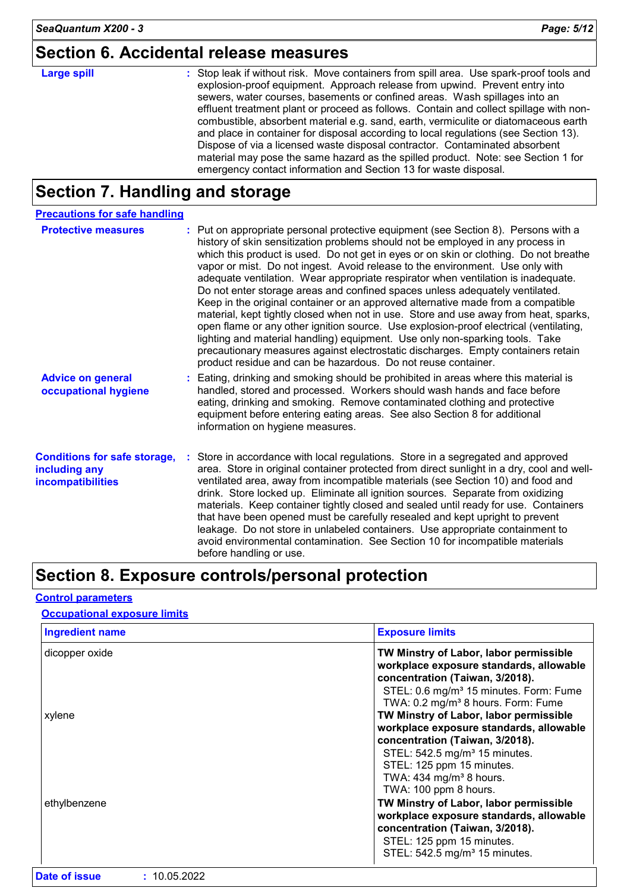### **Section 6. Accidental release measures**

### **Large spill :**

Stop leak if without risk. Move containers from spill area. Use spark-proof tools and explosion-proof equipment. Approach release from upwind. Prevent entry into sewers, water courses, basements or confined areas. Wash spillages into an effluent treatment plant or proceed as follows. Contain and collect spillage with noncombustible, absorbent material e.g. sand, earth, vermiculite or diatomaceous earth and place in container for disposal according to local regulations (see Section 13). Dispose of via a licensed waste disposal contractor. Contaminated absorbent material may pose the same hazard as the spilled product. Note: see Section 1 for emergency contact information and Section 13 for waste disposal.

### **Section 7. Handling and storage**

| <b>Precautions for safe handling</b>                                      |                                                                                                                                                                                                                                                                                                                                                                                                                                                                                                                                                                                                                                                                                                                                                                                                                                                                                                                                                                                                                                |
|---------------------------------------------------------------------------|--------------------------------------------------------------------------------------------------------------------------------------------------------------------------------------------------------------------------------------------------------------------------------------------------------------------------------------------------------------------------------------------------------------------------------------------------------------------------------------------------------------------------------------------------------------------------------------------------------------------------------------------------------------------------------------------------------------------------------------------------------------------------------------------------------------------------------------------------------------------------------------------------------------------------------------------------------------------------------------------------------------------------------|
| <b>Protective measures</b>                                                | : Put on appropriate personal protective equipment (see Section 8). Persons with a<br>history of skin sensitization problems should not be employed in any process in<br>which this product is used. Do not get in eyes or on skin or clothing. Do not breathe<br>vapor or mist. Do not ingest. Avoid release to the environment. Use only with<br>adequate ventilation. Wear appropriate respirator when ventilation is inadequate.<br>Do not enter storage areas and confined spaces unless adequately ventilated.<br>Keep in the original container or an approved alternative made from a compatible<br>material, kept tightly closed when not in use. Store and use away from heat, sparks,<br>open flame or any other ignition source. Use explosion-proof electrical (ventilating,<br>lighting and material handling) equipment. Use only non-sparking tools. Take<br>precautionary measures against electrostatic discharges. Empty containers retain<br>product residue and can be hazardous. Do not reuse container. |
| <b>Advice on general</b><br>occupational hygiene                          | : Eating, drinking and smoking should be prohibited in areas where this material is<br>handled, stored and processed. Workers should wash hands and face before<br>eating, drinking and smoking. Remove contaminated clothing and protective<br>equipment before entering eating areas. See also Section 8 for additional<br>information on hygiene measures.                                                                                                                                                                                                                                                                                                                                                                                                                                                                                                                                                                                                                                                                  |
| <b>Conditions for safe storage,</b><br>including any<br>incompatibilities | : Store in accordance with local regulations. Store in a segregated and approved<br>area. Store in original container protected from direct sunlight in a dry, cool and well-<br>ventilated area, away from incompatible materials (see Section 10) and food and<br>drink. Store locked up. Eliminate all ignition sources. Separate from oxidizing<br>materials. Keep container tightly closed and sealed until ready for use. Containers<br>that have been opened must be carefully resealed and kept upright to prevent<br>leakage. Do not store in unlabeled containers. Use appropriate containment to<br>avoid environmental contamination. See Section 10 for incompatible materials<br>before handling or use.                                                                                                                                                                                                                                                                                                         |

### **Section 8. Exposure controls/personal protection**

#### **Control parameters**

#### **Occupational exposure limits**

| <b>Ingredient name</b> | <b>Exposure limits</b>                                                                                                                                                                                                                                         |
|------------------------|----------------------------------------------------------------------------------------------------------------------------------------------------------------------------------------------------------------------------------------------------------------|
| dicopper oxide         | TW Minstry of Labor, labor permissible<br>workplace exposure standards, allowable<br>concentration (Taiwan, 3/2018).<br>STEL: 0.6 mg/m <sup>3</sup> 15 minutes. Form: Fume<br>TWA: 0.2 mg/m <sup>3</sup> 8 hours. Form: Fume                                   |
| xylene                 | TW Minstry of Labor, labor permissible<br>workplace exposure standards, allowable<br>concentration (Taiwan, 3/2018).<br>STEL: 542.5 mg/m <sup>3</sup> 15 minutes.<br>STEL: 125 ppm 15 minutes.<br>TWA: 434 mg/m <sup>3</sup> 8 hours.<br>TWA: 100 ppm 8 hours. |
| ethylbenzene           | TW Minstry of Labor, labor permissible<br>workplace exposure standards, allowable<br>concentration (Taiwan, 3/2018).<br>STEL: 125 ppm 15 minutes.<br>STEL: 542.5 mg/m <sup>3</sup> 15 minutes.                                                                 |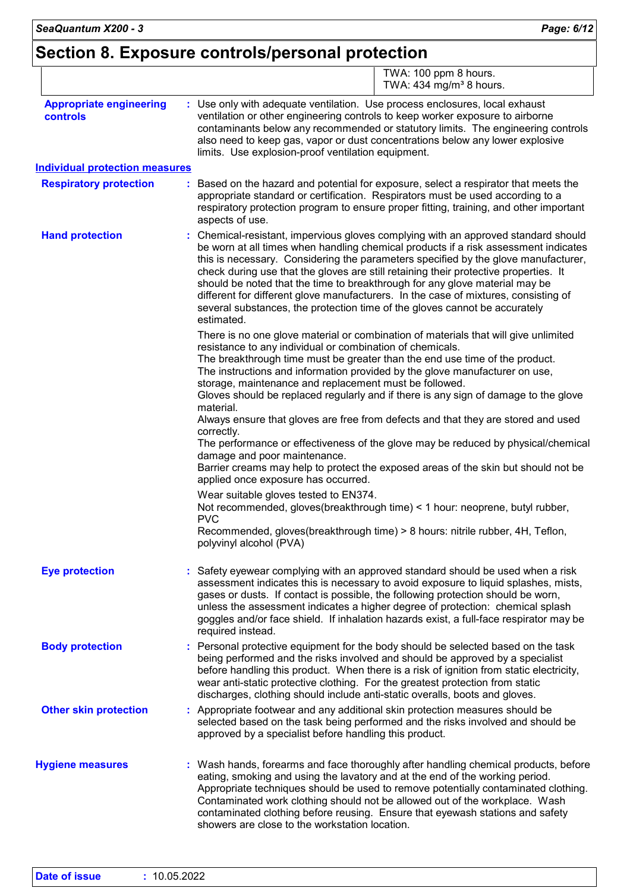### **Section 8. Exposure controls/personal protection**

|                                            | TWA: 100 ppm 8 hours.<br>TWA: $434$ mg/m <sup>3</sup> 8 hours.                                                                                                                                                                                                                                                                                                                                                                                                                                                                                                                                                          |  |  |  |  |
|--------------------------------------------|-------------------------------------------------------------------------------------------------------------------------------------------------------------------------------------------------------------------------------------------------------------------------------------------------------------------------------------------------------------------------------------------------------------------------------------------------------------------------------------------------------------------------------------------------------------------------------------------------------------------------|--|--|--|--|
| <b>Appropriate engineering</b><br>controls | : Use only with adequate ventilation. Use process enclosures, local exhaust<br>ventilation or other engineering controls to keep worker exposure to airborne<br>contaminants below any recommended or statutory limits. The engineering controls<br>also need to keep gas, vapor or dust concentrations below any lower explosive<br>limits. Use explosion-proof ventilation equipment.                                                                                                                                                                                                                                 |  |  |  |  |
| <b>Individual protection measures</b>      |                                                                                                                                                                                                                                                                                                                                                                                                                                                                                                                                                                                                                         |  |  |  |  |
| <b>Respiratory protection</b>              | Based on the hazard and potential for exposure, select a respirator that meets the<br>appropriate standard or certification. Respirators must be used according to a<br>respiratory protection program to ensure proper fitting, training, and other important<br>aspects of use.                                                                                                                                                                                                                                                                                                                                       |  |  |  |  |
| <b>Hand protection</b>                     | Chemical-resistant, impervious gloves complying with an approved standard should<br>be worn at all times when handling chemical products if a risk assessment indicates<br>this is necessary. Considering the parameters specified by the glove manufacturer,<br>check during use that the gloves are still retaining their protective properties. It<br>should be noted that the time to breakthrough for any glove material may be<br>different for different glove manufacturers. In the case of mixtures, consisting of<br>several substances, the protection time of the gloves cannot be accurately<br>estimated. |  |  |  |  |
|                                            | There is no one glove material or combination of materials that will give unlimited<br>resistance to any individual or combination of chemicals.<br>The breakthrough time must be greater than the end use time of the product.<br>The instructions and information provided by the glove manufacturer on use,<br>storage, maintenance and replacement must be followed.<br>Gloves should be replaced regularly and if there is any sign of damage to the glove<br>material.                                                                                                                                            |  |  |  |  |
|                                            | Always ensure that gloves are free from defects and that they are stored and used<br>correctly.<br>The performance or effectiveness of the glove may be reduced by physical/chemical<br>damage and poor maintenance.                                                                                                                                                                                                                                                                                                                                                                                                    |  |  |  |  |
|                                            | Barrier creams may help to protect the exposed areas of the skin but should not be<br>applied once exposure has occurred.                                                                                                                                                                                                                                                                                                                                                                                                                                                                                               |  |  |  |  |
|                                            | Wear suitable gloves tested to EN374.<br>Not recommended, gloves(breakthrough time) < 1 hour: neoprene, butyl rubber,<br><b>PVC</b>                                                                                                                                                                                                                                                                                                                                                                                                                                                                                     |  |  |  |  |
|                                            | Recommended, gloves(breakthrough time) > 8 hours: nitrile rubber, 4H, Teflon,<br>polyvinyl alcohol (PVA)                                                                                                                                                                                                                                                                                                                                                                                                                                                                                                                |  |  |  |  |
| <b>Eye protection</b>                      | Safety eyewear complying with an approved standard should be used when a risk<br>assessment indicates this is necessary to avoid exposure to liquid splashes, mists,<br>gases or dusts. If contact is possible, the following protection should be worn,<br>unless the assessment indicates a higher degree of protection: chemical splash<br>goggles and/or face shield. If inhalation hazards exist, a full-face respirator may be<br>required instead.                                                                                                                                                               |  |  |  |  |
| <b>Body protection</b>                     | : Personal protective equipment for the body should be selected based on the task<br>being performed and the risks involved and should be approved by a specialist<br>before handling this product. When there is a risk of ignition from static electricity,<br>wear anti-static protective clothing. For the greatest protection from static<br>discharges, clothing should include anti-static overalls, boots and gloves.                                                                                                                                                                                           |  |  |  |  |
| <b>Other skin protection</b>               | : Appropriate footwear and any additional skin protection measures should be<br>selected based on the task being performed and the risks involved and should be<br>approved by a specialist before handling this product.                                                                                                                                                                                                                                                                                                                                                                                               |  |  |  |  |
| <b>Hygiene measures</b>                    | : Wash hands, forearms and face thoroughly after handling chemical products, before<br>eating, smoking and using the lavatory and at the end of the working period.<br>Appropriate techniques should be used to remove potentially contaminated clothing.<br>Contaminated work clothing should not be allowed out of the workplace. Wash<br>contaminated clothing before reusing. Ensure that eyewash stations and safety<br>showers are close to the workstation location.                                                                                                                                             |  |  |  |  |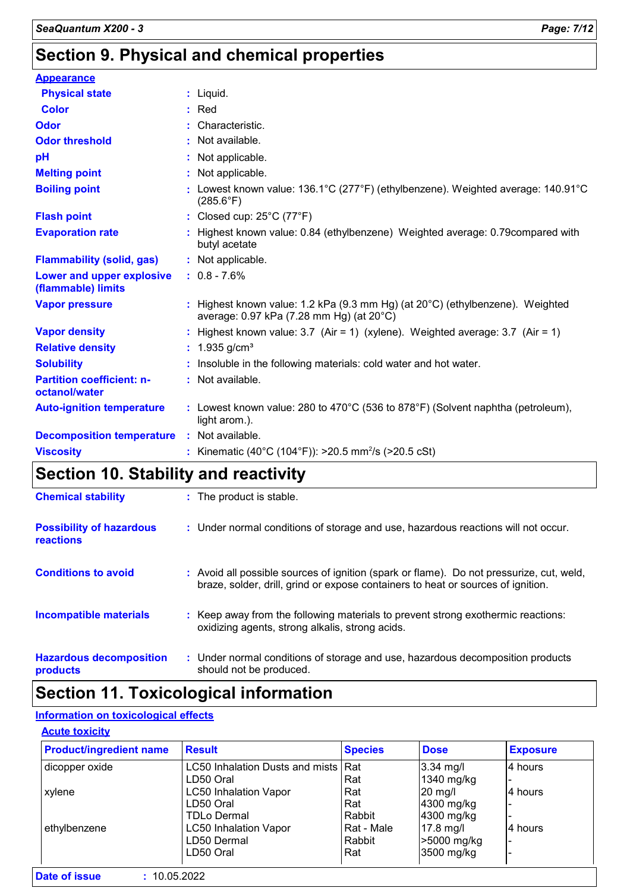### **Section 9. Physical and chemical properties**

| <b>Appearance</b>                                 |                                                                                                                                       |
|---------------------------------------------------|---------------------------------------------------------------------------------------------------------------------------------------|
| <b>Physical state</b>                             | $:$ Liquid.                                                                                                                           |
| <b>Color</b>                                      | $:$ Red                                                                                                                               |
| <b>Odor</b>                                       | : Characteristic.                                                                                                                     |
| <b>Odor threshold</b>                             | : Not available.                                                                                                                      |
| рH                                                | : Not applicable.                                                                                                                     |
| <b>Melting point</b>                              | : Not applicable.                                                                                                                     |
| <b>Boiling point</b>                              | : Lowest known value: $136.1^{\circ}$ C (277 $^{\circ}$ F) (ethylbenzene). Weighted average: $140.91^{\circ}$ C<br>$(285.6^{\circ}F)$ |
| <b>Flash point</b>                                | : Closed cup: $25^{\circ}$ C (77 $^{\circ}$ F)                                                                                        |
| <b>Evaporation rate</b>                           | : Highest known value: 0.84 (ethylbenzene) Weighted average: 0.79 compared with<br>butyl acetate                                      |
| <b>Flammability (solid, gas)</b>                  | : Not applicable.                                                                                                                     |
| Lower and upper explosive<br>(flammable) limits   | $: 0.8 - 7.6\%$                                                                                                                       |
| <b>Vapor pressure</b>                             | : Highest known value: 1.2 kPa (9.3 mm Hg) (at $20^{\circ}$ C) (ethylbenzene). Weighted<br>average: 0.97 kPa (7.28 mm Hg) (at 20°C)   |
| <b>Vapor density</b>                              | : Highest known value: $3.7$ (Air = 1) (xylene). Weighted average: $3.7$ (Air = 1)                                                    |
| <b>Relative density</b>                           | : $1.935$ g/cm <sup>3</sup>                                                                                                           |
| <b>Solubility</b>                                 | : Insoluble in the following materials: cold water and hot water.                                                                     |
| <b>Partition coefficient: n-</b><br>octanol/water | : Not available.                                                                                                                      |
| <b>Auto-ignition temperature</b>                  | : Lowest known value: $280$ to $470^{\circ}$ C (536 to $878^{\circ}$ F) (Solvent naphtha (petroleum),<br>light arom.).                |
| <b>Decomposition temperature</b>                  | : Not available.                                                                                                                      |
| <b>Viscosity</b>                                  | : Kinematic (40°C (104°F)): >20.5 mm <sup>2</sup> /s (>20.5 cSt)                                                                      |

### **Section 10. Stability and reactivity**

| <b>Chemical stability</b>                    | : The product is stable.                                                                                                                                                     |
|----------------------------------------------|------------------------------------------------------------------------------------------------------------------------------------------------------------------------------|
| <b>Possibility of hazardous</b><br>reactions | : Under normal conditions of storage and use, hazardous reactions will not occur.                                                                                            |
| <b>Conditions to avoid</b>                   | : Avoid all possible sources of ignition (spark or flame). Do not pressurize, cut, weld,<br>braze, solder, drill, grind or expose containers to heat or sources of ignition. |
| <b>Incompatible materials</b>                | : Keep away from the following materials to prevent strong exothermic reactions:<br>oxidizing agents, strong alkalis, strong acids.                                          |
| <b>Hazardous decomposition</b><br>products   | : Under normal conditions of storage and use, hazardous decomposition products<br>should not be produced.                                                                    |

### **Section 11. Toxicological information**

#### **Information on toxicological effects**

#### **Acute toxicity**

| <b>Product/ingredient name</b> | <b>Result</b>                       | <b>Species</b> | <b>Dose</b> | <b>Exposure</b> |
|--------------------------------|-------------------------------------|----------------|-------------|-----------------|
| dicopper oxide                 | LC50 Inhalation Dusts and mists Rat |                | $3.34$ mg/l | 4 hours         |
|                                | LD50 Oral                           | Rat            | 1340 mg/kg  |                 |
| xylene                         | <b>LC50 Inhalation Vapor</b>        | Rat            | $20$ mg/    | l4 hours        |
|                                | LD50 Oral                           | Rat            | 4300 mg/kg  |                 |
|                                | TDLo Dermal                         | Rabbit         | 4300 mg/kg  |                 |
| ethylbenzene                   | <b>LC50 Inhalation Vapor</b>        | Rat - Male     | $17.8$ mg/l | l4 hours        |
|                                | LD50 Dermal                         | Rabbit         | >5000 mg/kg |                 |
|                                | LD50 Oral                           | Rat            | 3500 mg/kg  |                 |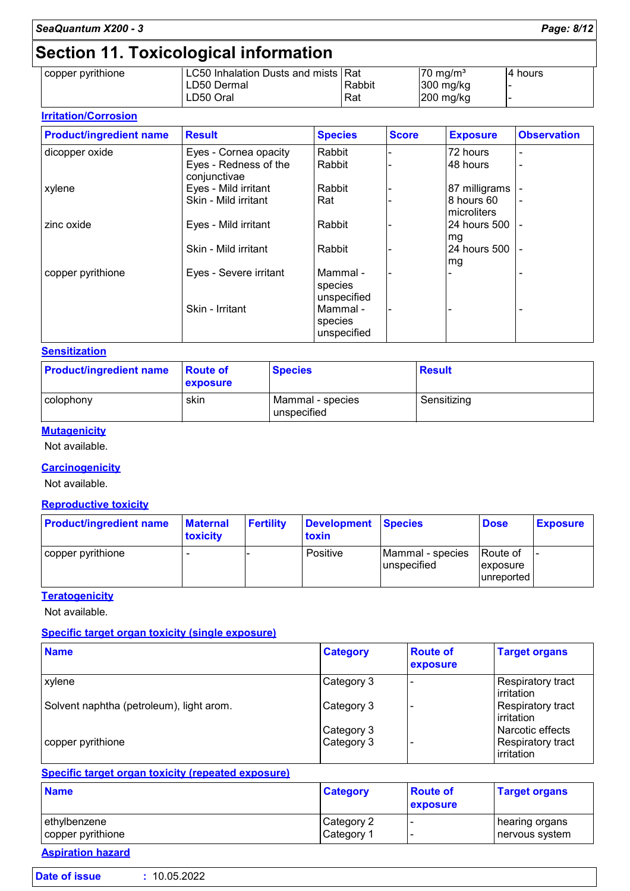## **Section 11. Toxicological information**

| copper pyrithione | LC50 Inhalation Dusts and mists   Rat |        | $70 \text{ ma/m}^3$ | 14 hours |
|-------------------|---------------------------------------|--------|---------------------|----------|
|                   | LD50 Dermal                           | Rabbit | $300$ mg/kg         |          |
|                   | LD50 Oral                             | Rat    | $200$ mg/kg         |          |
|                   |                                       |        |                     |          |

#### **Irritation/Corrosion**

| <b>Product/ingredient name</b> | <b>Result</b>                         | <b>Species</b>                     | <b>Score</b> | <b>Exposure</b>           | <b>Observation</b> |
|--------------------------------|---------------------------------------|------------------------------------|--------------|---------------------------|--------------------|
| dicopper oxide                 | Eyes - Cornea opacity                 | Rabbit                             |              | 72 hours                  | -                  |
|                                | Eyes - Redness of the<br>conjunctivae | Rabbit                             |              | 48 hours                  | -                  |
| xylene                         | Eyes - Mild irritant                  | Rabbit                             |              | 87 milligrams             |                    |
|                                | Skin - Mild irritant                  | Rat                                |              | 8 hours 60<br>microliters |                    |
| zinc oxide                     | Eyes - Mild irritant                  | Rabbit                             |              | 24 hours 500<br>mg        |                    |
|                                | Skin - Mild irritant                  | Rabbit                             |              | 24 hours 500<br>mg        |                    |
| copper pyrithione              | Eyes - Severe irritant                | Mammal -<br>species<br>unspecified |              |                           |                    |
|                                | Skin - Irritant                       | Mammal -<br>species<br>unspecified |              |                           |                    |

#### **Sensitization**

| <b>Product/ingredient name</b> | <b>Route of</b><br>exposure | <b>Species</b>                  | <b>Result</b> |
|--------------------------------|-----------------------------|---------------------------------|---------------|
| l colophonv                    | skin                        | Mammal - species<br>unspecified | Sensitizing   |

#### **Mutagenicity**

Not available.

#### **Carcinogenicity**

Not available.

#### **Reproductive toxicity**

| <b>Product/ingredient name</b> | <b>Maternal</b><br><b>toxicity</b> | <b>Fertility</b> | Development Species<br>toxin |                                        | <b>Dose</b>                                | <b>Exposure</b> |
|--------------------------------|------------------------------------|------------------|------------------------------|----------------------------------------|--------------------------------------------|-----------------|
| copper pyrithione              |                                    |                  | Positive                     | Mammal - species<br><b>unspecified</b> | Route of<br><i>exposure</i><br>lunreported |                 |

#### **Teratogenicity**

Not available.

#### **Specific target organ toxicity (single exposure)**

| <b>Name</b>                              | <b>Category</b> | <b>Route of</b><br>exposure | <b>Target organs</b>                     |
|------------------------------------------|-----------------|-----------------------------|------------------------------------------|
| <b>xylene</b>                            | Category 3      |                             | Respiratory tract<br><b>l</b> irritation |
| Solvent naphtha (petroleum), light arom. | Category 3      |                             | Respiratory tract<br>l irritation        |
|                                          | Category 3      |                             | Narcotic effects                         |
| copper pyrithione                        | Category 3      |                             | Respiratory tract<br>irritation          |

#### **Specific target organ toxicity (repeated exposure)**

| <b>Name</b>       | <b>Category</b> | <b>Route of</b><br><b>exposure</b> | <b>Target organs</b> |
|-------------------|-----------------|------------------------------------|----------------------|
| ethylbenzene      | Category 2      |                                    | hearing organs       |
| copper pyrithione | Category 1      |                                    | nervous system       |

### **Aspiration hazard**

ľ

| Date of issue | : 10.05.2022 |  |
|---------------|--------------|--|
|               |              |  |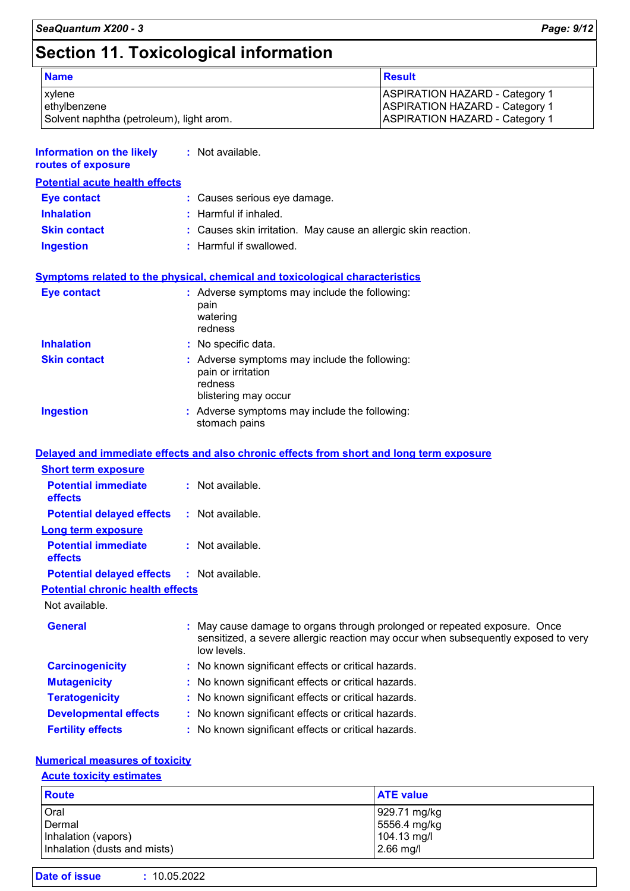### **Section 11. Toxicological information**

| <b>Name</b>                                                               | <b>Result</b>                                                                                                           |
|---------------------------------------------------------------------------|-------------------------------------------------------------------------------------------------------------------------|
| <b>xylene</b><br>ethylbenzene<br>Solvent naphtha (petroleum), light arom. | <b>ASPIRATION HAZARD - Category 1</b><br><b>ASPIRATION HAZARD - Category 1</b><br><b>ASPIRATION HAZARD - Category 1</b> |

| <b>Information on the likely : Not available.</b><br>routes of exposure |                                                                                                                                      |
|-------------------------------------------------------------------------|--------------------------------------------------------------------------------------------------------------------------------------|
| <b>Potential acute health effects</b>                                   |                                                                                                                                      |
| <b>Eye contact</b>                                                      | : Causes serious eye damage.                                                                                                         |
| <b>Inhalation</b>                                                       | $:$ Harmful if inhaled.                                                                                                              |
| <b>Skin contact</b>                                                     | : Causes skin irritation. May cause an allergic skin reaction.                                                                       |
| <b>Ingestion</b>                                                        | : Harmful if swallowed.                                                                                                              |
| <b>Eye contact</b>                                                      | <b>Symptoms related to the physical, chemical and toxicological characteristics</b><br>: Adverse symptoms may include the following: |
|                                                                         | pain<br>watering<br>redness                                                                                                          |
| <b>Inhalation</b>                                                       | : No specific data.                                                                                                                  |
|                                                                         |                                                                                                                                      |
| <b>Skin contact</b>                                                     | : Adverse symptoms may include the following:<br>pain or irritation<br>redness<br>blistering may occur                               |
| <b>Ingestion</b>                                                        | : Adverse symptoms may include the following:<br>stomach pains                                                                       |

#### **Delayed and immediate effects and also chronic effects from short and long term exposure**

| <b>Short term exposure</b>                        |                                                                                                                                                                              |
|---------------------------------------------------|------------------------------------------------------------------------------------------------------------------------------------------------------------------------------|
| <b>Potential immediate</b><br><b>effects</b>      | $:$ Not available.                                                                                                                                                           |
| <b>Potential delayed effects</b>                  | : Not available.                                                                                                                                                             |
| <b>Long term exposure</b>                         |                                                                                                                                                                              |
| <b>Potential immediate</b><br><b>effects</b>      | : Not available.                                                                                                                                                             |
| <b>Potential delayed effects : Not available.</b> |                                                                                                                                                                              |
| <b>Potential chronic health effects</b>           |                                                                                                                                                                              |
| Not available.                                    |                                                                                                                                                                              |
| <b>General</b>                                    | May cause damage to organs through prolonged or repeated exposure. Once<br>sensitized, a severe allergic reaction may occur when subsequently exposed to very<br>low levels. |
| <b>Carcinogenicity</b>                            | : No known significant effects or critical hazards.                                                                                                                          |
| <b>Mutagenicity</b>                               | : No known significant effects or critical hazards.                                                                                                                          |
| <b>Teratogenicity</b>                             | : No known significant effects or critical hazards.                                                                                                                          |
| <b>Developmental effects</b>                      | : No known significant effects or critical hazards.                                                                                                                          |
| <b>Fertility effects</b>                          | : No known significant effects or critical hazards.                                                                                                                          |

#### **Numerical measures of toxicity**

#### **Acute toxicity estimates**

| <b>Route</b>                 | <b>ATE value</b> |
|------------------------------|------------------|
| Oral                         | 929.71 mg/kg     |
| Dermal                       | 5556.4 mg/kg     |
| Inhalation (vapors)          | 104.13 mg/l      |
| Inhalation (dusts and mists) | $2.66$ mg/l      |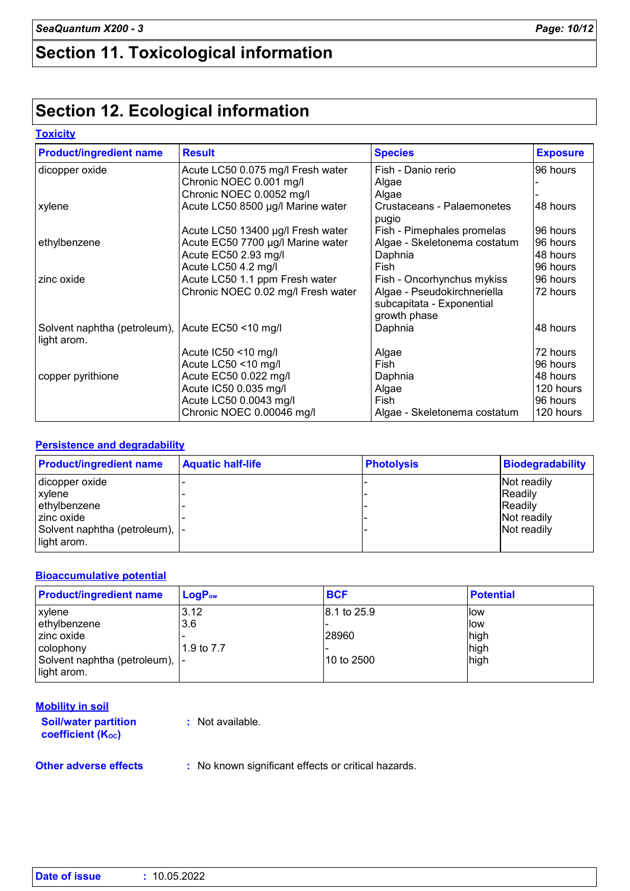### **Section 11. Toxicological information**

### **Section 12. Ecological information**

#### **Toxicity**

| <b>Product/ingredient name</b>                                  | <b>Result</b>                      | <b>Species</b>                                                           | <b>Exposure</b> |
|-----------------------------------------------------------------|------------------------------------|--------------------------------------------------------------------------|-----------------|
| dicopper oxide                                                  | Acute LC50 0.075 mg/l Fresh water  | Fish - Danio rerio                                                       | 96 hours        |
|                                                                 | Chronic NOEC 0.001 mg/l            | Algae                                                                    |                 |
|                                                                 | Chronic NOEC 0.0052 mg/l           | Algae                                                                    |                 |
| xylene                                                          | Acute LC50 8500 µg/l Marine water  | Crustaceans - Palaemonetes<br>pugio                                      | 48 hours        |
|                                                                 | Acute LC50 13400 µg/l Fresh water  | Fish - Pimephales promelas                                               | 96 hours        |
| ethylbenzene                                                    | Acute EC50 7700 µg/l Marine water  | Algae - Skeletonema costatum                                             | 96 hours        |
|                                                                 | Acute EC50 2.93 mg/l               | Daphnia                                                                  | 48 hours        |
|                                                                 | Acute LC50 4.2 mg/l                | Fish                                                                     | 96 hours        |
| zinc oxide                                                      | Acute LC50 1.1 ppm Fresh water     | Fish - Oncorhynchus mykiss                                               | 96 hours        |
|                                                                 | Chronic NOEC 0.02 mg/l Fresh water | Algae - Pseudokirchneriella<br>subcapitata - Exponential<br>growth phase | 72 hours        |
| Solvent naphtha (petroleum), Acute EC50 <10 mg/l<br>light arom. |                                    | Daphnia                                                                  | 48 hours        |
|                                                                 | Acute IC50 <10 mg/l                | Algae                                                                    | 72 hours        |
|                                                                 | Acute LC50 <10 mg/l                | Fish                                                                     | 96 hours        |
| copper pyrithione                                               | Acute EC50 0.022 mg/l              | Daphnia                                                                  | 48 hours        |
|                                                                 | Acute IC50 0.035 mg/l              | Algae                                                                    | 120 hours       |
|                                                                 | Acute LC50 0.0043 mg/l             | Fish                                                                     | 96 hours        |
|                                                                 | Chronic NOEC 0.00046 mg/l          | Algae - Skeletonema costatum                                             | 120 hours       |

#### **Persistence and degradability**

| <b>Product/ingredient name</b>  | <b>Aquatic half-life</b> | <b>Photolysis</b> | <b>Biodegradability</b> |
|---------------------------------|--------------------------|-------------------|-------------------------|
| dicopper oxide                  |                          |                   | Not readily             |
| <b>xylene</b>                   |                          |                   | <b>Readily</b>          |
| ethylbenzene                    |                          |                   | <b>Readily</b>          |
| I zinc oxide                    |                          |                   | Not readily             |
| Solvent naphtha (petroleum),  - |                          |                   | Not readily             |
| light arom.                     |                          |                   |                         |

#### **Bioaccumulative potential**

| <b>Product/ingredient name</b>  | $LogP_{ow}$ | <b>BCF</b>  | <b>Potential</b> |
|---------------------------------|-------------|-------------|------------------|
| xylene                          | 3.12        | 8.1 to 25.9 | <b>llow</b>      |
| ethylbenzene                    | 3.6         |             | llow             |
| zinc oxide                      |             | 28960       | high             |
| colophony                       | 1.9 to 7.7  |             | high             |
| Solvent naphtha (petroleum),  - |             | 10 to 2500  | high             |
| light arom.                     |             |             |                  |

| <b>Mobility in soil</b>                                                                                          |                                                                                                                                        |
|------------------------------------------------------------------------------------------------------------------|----------------------------------------------------------------------------------------------------------------------------------------|
| <b>Soil/water partition</b><br><b>coefficient (Koc)</b>                                                          | : Not available.                                                                                                                       |
| Additional and the contract of the state of the state of the state of the state of the state of the state of the | $\sim$ . All all the second and the set $\sigma$ and $\sigma$ and $\sigma$ and $\sigma$ are set $\sigma$ and $\sigma$ are set $\sigma$ |

**Other adverse effects** : No known significant effects or critical hazards.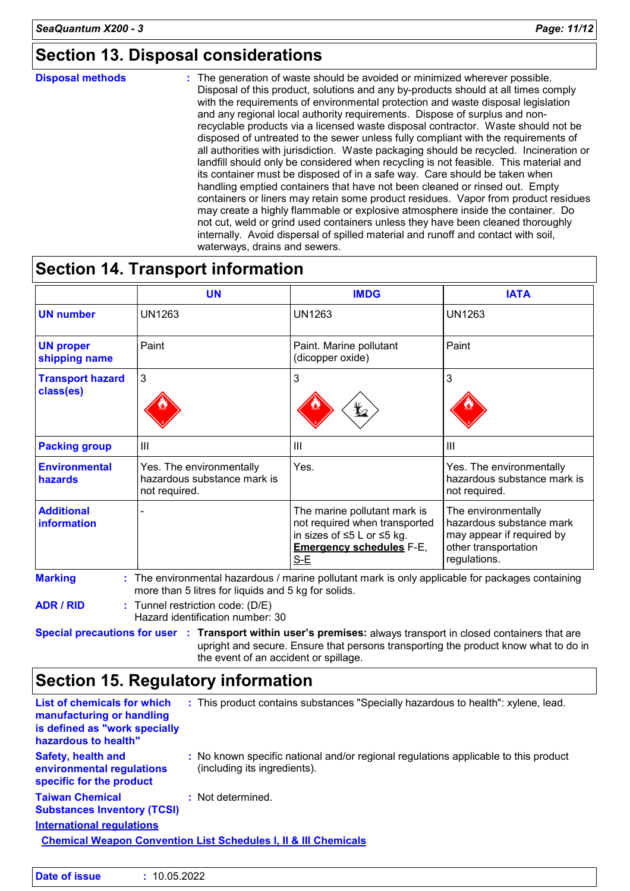### **Section 13. Disposal considerations**

#### **Disposal methods :**

The generation of waste should be avoided or minimized wherever possible. Disposal of this product, solutions and any by-products should at all times comply with the requirements of environmental protection and waste disposal legislation and any regional local authority requirements. Dispose of surplus and nonrecyclable products via a licensed waste disposal contractor. Waste should not be disposed of untreated to the sewer unless fully compliant with the requirements of all authorities with jurisdiction. Waste packaging should be recycled. Incineration or landfill should only be considered when recycling is not feasible. This material and its container must be disposed of in a safe way. Care should be taken when handling emptied containers that have not been cleaned or rinsed out. Empty containers or liners may retain some product residues. Vapor from product residues may create a highly flammable or explosive atmosphere inside the container. Do not cut, weld or grind used containers unless they have been cleaned thoroughly internally. Avoid dispersal of spilled material and runoff and contact with soil, waterways, drains and sewers.

### **Section 14. Transport information**

|                                        | <b>UN</b>                                                                | <b>IMDG</b>                                                                                                                             | <b>IATA</b>                                                                                                          |
|----------------------------------------|--------------------------------------------------------------------------|-----------------------------------------------------------------------------------------------------------------------------------------|----------------------------------------------------------------------------------------------------------------------|
| <b>UN number</b>                       | <b>UN1263</b>                                                            | <b>UN1263</b>                                                                                                                           | <b>UN1263</b>                                                                                                        |
| <b>UN proper</b><br>shipping name      | Paint                                                                    | Paint. Marine pollutant<br>(dicopper oxide)                                                                                             | Paint                                                                                                                |
| <b>Transport hazard</b><br>class(es)   | 3                                                                        | 3<br>q                                                                                                                                  | 3                                                                                                                    |
| <b>Packing group</b>                   | III                                                                      | $\mathbf{III}$                                                                                                                          | $\mathbf{III}$                                                                                                       |
| <b>Environmental</b><br><b>hazards</b> | Yes. The environmentally<br>hazardous substance mark is<br>not required. | Yes.                                                                                                                                    | Yes. The environmentally<br>hazardous substance mark is<br>not required.                                             |
| <b>Additional</b><br>information       |                                                                          | The marine pollutant mark is<br>not required when transported<br>in sizes of ≤5 L or ≤5 kg.<br><b>Emergency schedules F-E,</b><br>$S-E$ | The environmentally<br>hazardous substance mark<br>may appear if required by<br>other transportation<br>regulations. |

**ADR / RID :** Tunnel restriction code: (D/E)

Hazard identification number: 30

**Special precautions for user Transport within user's premises:** always transport in closed containers that are **:** upright and secure. Ensure that persons transporting the product know what to do in the event of an accident or spillage.

### **Section 15. Regulatory information**

| <b>List of chemicals for which</b><br>manufacturing or handling<br>is defined as "work specially<br>hazardous to health" | : This product contains substances "Specially hazardous to health": xylene, lead.                                   |  |  |
|--------------------------------------------------------------------------------------------------------------------------|---------------------------------------------------------------------------------------------------------------------|--|--|
| <b>Safety, health and</b><br>environmental regulations<br>specific for the product                                       | : No known specific national and/or regional regulations applicable to this product<br>(including its ingredients). |  |  |
| <b>Taiwan Chemical</b><br><b>Substances Inventory (TCSI)</b>                                                             | : Not determined.                                                                                                   |  |  |
| <b>International requlations</b>                                                                                         |                                                                                                                     |  |  |
| <b>Chemical Weapon Convention List Schedules I, II &amp; III Chemicals</b>                                               |                                                                                                                     |  |  |